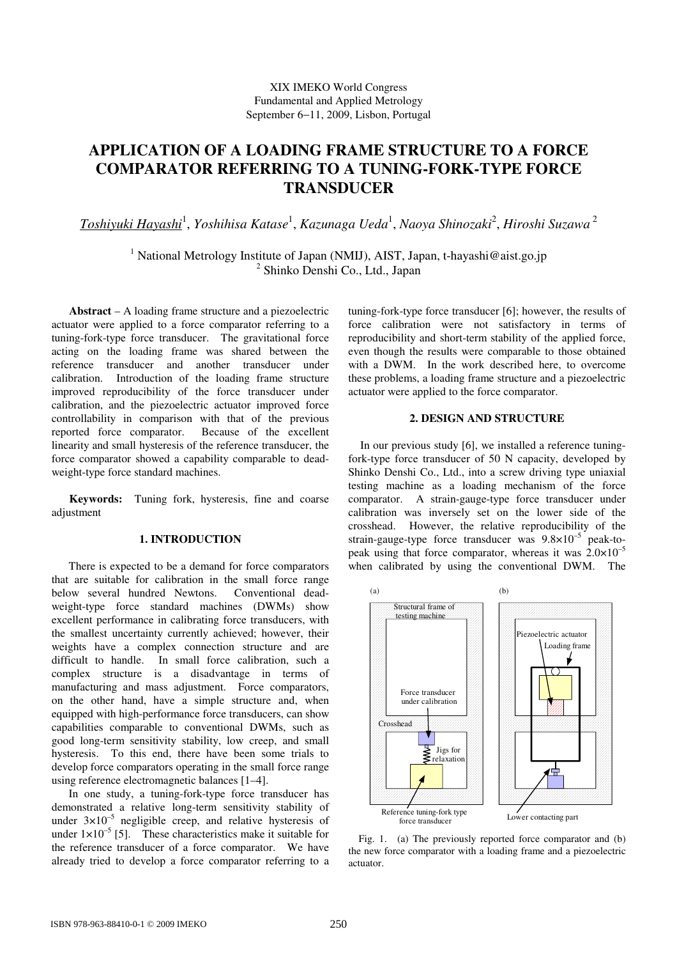# **APPLICATION OF A LOADING FRAME STRUCTURE TO A FORCE COMPARATOR REFERRING TO A TUNING-FORK-TYPE FORCE TRANSDUCER**

 $\overline{Toshiyuki Hayashi}^1, Yoshihisa Katase^1, Kazunaga Ueda^1, Naoya Shinozaki^2, Hiroshi Suzawa^2$ 

<sup>1</sup> National Metrology Institute of Japan (NMIJ), AIST, Japan, t-hayashi@aist.go.jp <sup>2</sup> Shinko Denshi Co., Ltd., Japan

 **Abstract** – A loading frame structure and a piezoelectric actuator were applied to a force comparator referring to a tuning-fork-type force transducer. The gravitational force acting on the loading frame was shared between the reference transducer and another transducer under calibration. Introduction of the loading frame structure improved reproducibility of the force transducer under calibration, and the piezoelectric actuator improved force controllability in comparison with that of the previous reported force comparator. Because of the excellent linearity and small hysteresis of the reference transducer, the force comparator showed a capability comparable to deadweight-type force standard machines.

 **Keywords:** Tuning fork, hysteresis, fine and coarse adjustment

## **1. INTRODUCTION**

 There is expected to be a demand for force comparators that are suitable for calibration in the small force range below several hundred Newtons. Conventional deadweight-type force standard machines (DWMs) show excellent performance in calibrating force transducers, with the smallest uncertainty currently achieved; however, their weights have a complex connection structure and are difficult to handle. In small force calibration, such a complex structure is a disadvantage in terms of manufacturing and mass adjustment. Force comparators, on the other hand, have a simple structure and, when equipped with high-performance force transducers, can show capabilities comparable to conventional DWMs, such as good long-term sensitivity stability, low creep, and small hysteresis. To this end, there have been some trials to develop force comparators operating in the small force range using reference electromagnetic balances [1–4].

 In one study, a tuning-fork-type force transducer has demonstrated a relative long-term sensitivity stability of under  $3\times10^{-5}$  negligible creep, and relative hysteresis of under  $1 \times 10^{-5}$  [5]. These characteristics make it suitable for the reference transducer of a force comparator. We have already tried to develop a force comparator referring to a tuning-fork-type force transducer [6]; however, the results of force calibration were not satisfactory in terms of reproducibility and short-term stability of the applied force, even though the results were comparable to those obtained with a DWM. In the work described here, to overcome these problems, a loading frame structure and a piezoelectric actuator were applied to the force comparator.

## **2. DESIGN AND STRUCTURE**

In our previous study [6], we installed a reference tuningfork-type force transducer of 50 N capacity, developed by Shinko Denshi Co., Ltd., into a screw driving type uniaxial testing machine as a loading mechanism of the force comparator. A strain-gauge-type force transducer under calibration was inversely set on the lower side of the crosshead. However, the relative reproducibility of the strain-gauge-type force transducer was  $9.8 \times 10^{-5}$  peak-topeak using that force comparator, whereas it was  $2.0 \times 10^{-5}$ when calibrated by using the conventional DWM. The



Fig. 1. (a) The previously reported force comparator and (b) the new force comparator with a loading frame and a piezoelectric actuator.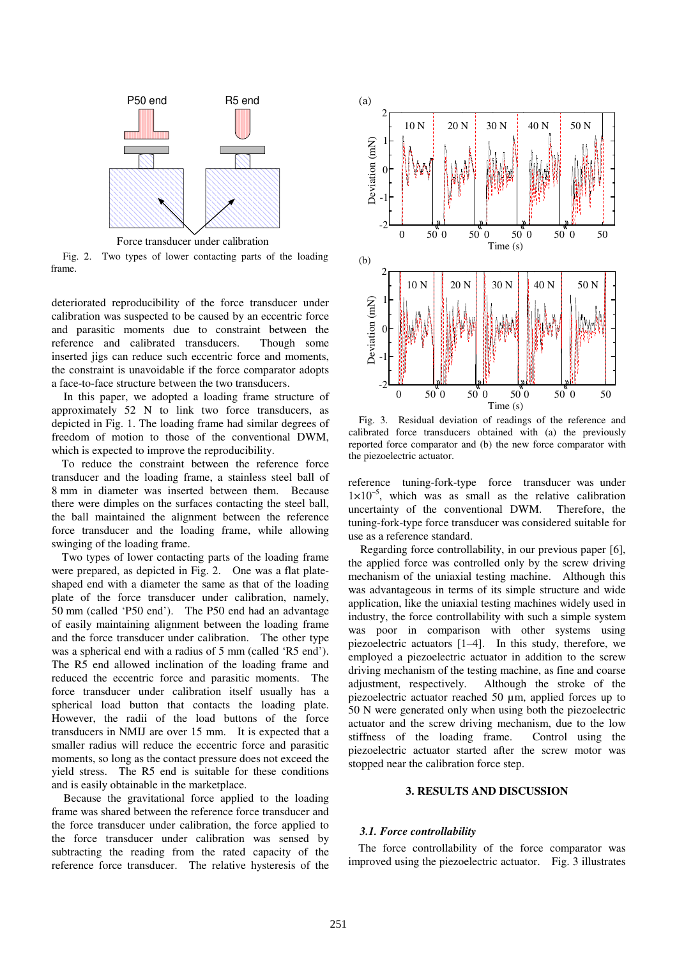

Force transducer under calibration

Fig. 2. Two types of lower contacting parts of the loading frame.

deteriorated reproducibility of the force transducer under calibration was suspected to be caused by an eccentric force and parasitic moments due to constraint between the reference and calibrated transducers. Though some inserted jigs can reduce such eccentric force and moments, the constraint is unavoidable if the force comparator adopts a face-to-face structure between the two transducers.

In this paper, we adopted a loading frame structure of approximately 52 N to link two force transducers, as depicted in Fig. 1. The loading frame had similar degrees of freedom of motion to those of the conventional DWM, which is expected to improve the reproducibility.

To reduce the constraint between the reference force transducer and the loading frame, a stainless steel ball of 8 mm in diameter was inserted between them. Because there were dimples on the surfaces contacting the steel ball, the ball maintained the alignment between the reference force transducer and the loading frame, while allowing swinging of the loading frame.

Two types of lower contacting parts of the loading frame were prepared, as depicted in Fig. 2. One was a flat plateshaped end with a diameter the same as that of the loading plate of the force transducer under calibration, namely, 50 mm (called 'P50 end'). The P50 end had an advantage of easily maintaining alignment between the loading frame and the force transducer under calibration. The other type was a spherical end with a radius of 5 mm (called 'R5 end'). The R5 end allowed inclination of the loading frame and reduced the eccentric force and parasitic moments. The force transducer under calibration itself usually has a spherical load button that contacts the loading plate. However, the radii of the load buttons of the force transducers in NMIJ are over 15 mm. It is expected that a smaller radius will reduce the eccentric force and parasitic moments, so long as the contact pressure does not exceed the yield stress. The R5 end is suitable for these conditions and is easily obtainable in the marketplace.

Because the gravitational force applied to the loading frame was shared between the reference force transducer and the force transducer under calibration, the force applied to the force transducer under calibration was sensed by subtracting the reading from the rated capacity of the reference force transducer. The relative hysteresis of the



Fig. 3. Residual deviation of readings of the reference and calibrated force transducers obtained with (a) the previously reported force comparator and (b) the new force comparator with the piezoelectric actuator.

reference tuning-fork-type force transducer was under  $1\times10^{-5}$ , which was as small as the relative calibration uncertainty of the conventional DWM. Therefore, the tuning-fork-type force transducer was considered suitable for use as a reference standard.

Regarding force controllability, in our previous paper [6], the applied force was controlled only by the screw driving mechanism of the uniaxial testing machine. Although this was advantageous in terms of its simple structure and wide application, like the uniaxial testing machines widely used in industry, the force controllability with such a simple system was poor in comparison with other systems using piezoelectric actuators [1–4]. In this study, therefore, we employed a piezoelectric actuator in addition to the screw driving mechanism of the testing machine, as fine and coarse adjustment, respectively. Although the stroke of the piezoelectric actuator reached 50 µm, applied forces up to 50 N were generated only when using both the piezoelectric actuator and the screw driving mechanism, due to the low stiffness of the loading frame. Control using the piezoelectric actuator started after the screw motor was stopped near the calibration force step.

# **3. RESULTS AND DISCUSSION**

#### *3.1. Force controllability*

The force controllability of the force comparator was improved using the piezoelectric actuator. Fig. 3 illustrates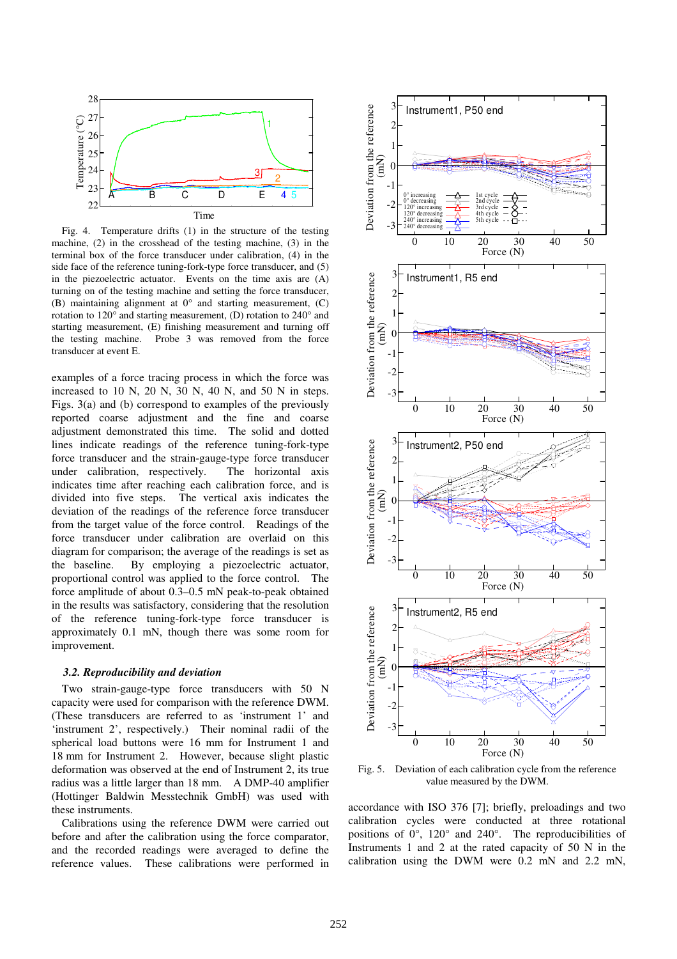

Fig. 4. Temperature drifts (1) in the structure of the testing machine, (2) in the crosshead of the testing machine, (3) in the terminal box of the force transducer under calibration, (4) in the side face of the reference tuning-fork-type force transducer, and (5) in the piezoelectric actuator. Events on the time axis are (A) turning on of the testing machine and setting the force transducer, (B) maintaining alignment at  $0^{\circ}$  and starting measurement, (C) rotation to 120° and starting measurement, (D) rotation to 240° and starting measurement, (E) finishing measurement and turning off the testing machine. Probe 3 was removed from the force transducer at event E.

examples of a force tracing process in which the force was increased to 10 N, 20 N, 30 N, 40 N, and 50 N in steps. Figs. 3(a) and (b) correspond to examples of the previously reported coarse adjustment and the fine and coarse adjustment demonstrated this time. The solid and dotted lines indicate readings of the reference tuning-fork-type force transducer and the strain-gauge-type force transducer under calibration, respectively. The horizontal axis indicates time after reaching each calibration force, and is divided into five steps. The vertical axis indicates the deviation of the readings of the reference force transducer from the target value of the force control. Readings of the force transducer under calibration are overlaid on this diagram for comparison; the average of the readings is set as the baseline. By employing a piezoelectric actuator, proportional control was applied to the force control. The force amplitude of about 0.3–0.5 mN peak-to-peak obtained in the results was satisfactory, considering that the resolution of the reference tuning-fork-type force transducer is approximately 0.1 mN, though there was some room for improvement.

#### *3.2. Reproducibility and deviation*

Two strain-gauge-type force transducers with 50 N capacity were used for comparison with the reference DWM. (These transducers are referred to as 'instrument 1' and 'instrument 2', respectively.) Their nominal radii of the spherical load buttons were 16 mm for Instrument 1 and 18 mm for Instrument 2. However, because slight plastic deformation was observed at the end of Instrument 2, its true radius was a little larger than 18 mm. A DMP-40 amplifier (Hottinger Baldwin Messtechnik GmbH) was used with these instruments.

Calibrations using the reference DWM were carried out before and after the calibration using the force comparator, and the recorded readings were averaged to define the reference values. These calibrations were performed in



Fig. 5. Deviation of each calibration cycle from the reference value measured by the DWM.

accordance with ISO 376 [7]; briefly, preloadings and two calibration cycles were conducted at three rotational positions of  $0^\circ$ , 120 $^\circ$  and 240 $^\circ$ . The reproducibilities of Instruments 1 and 2 at the rated capacity of 50 N in the calibration using the DWM were 0.2 mN and 2.2 mN,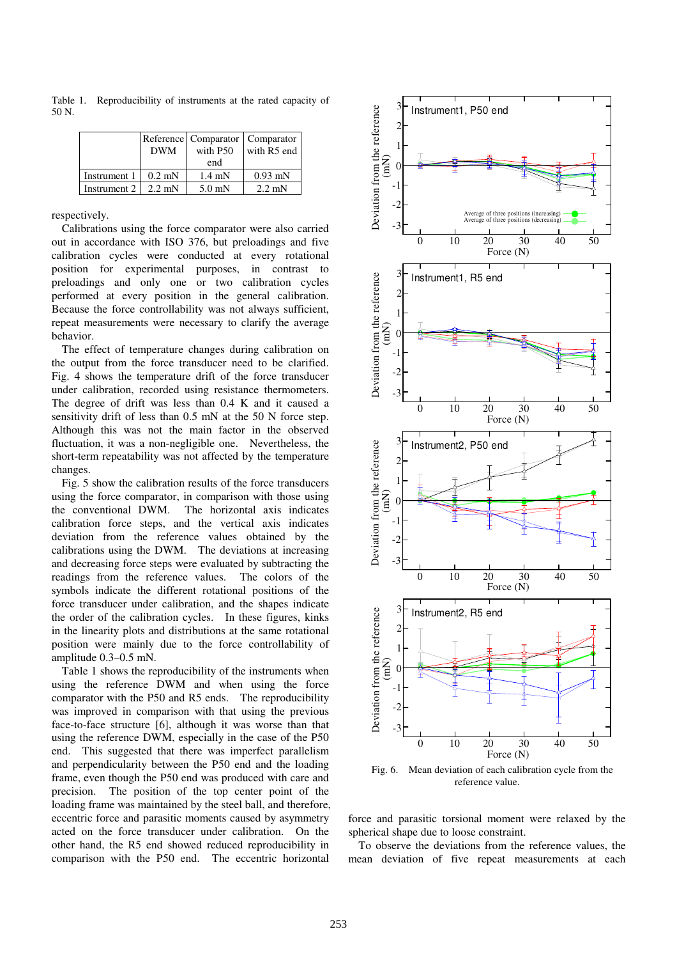Reference DWM Comparator with P50 end Comparator with R5 end Instrument  $1 \mid 0.2 \text{ mN} \mid 1.4 \text{ mN} \mid 0.93 \text{ mN}$ Instrument 2  $\begin{array}{|c|c|c|c|c|} \hline 2.2 \text{ mN} & 5.0 \text{ mN} & 2.2 \text{ mN} \hline \end{array}$ 

Table 1. Reproducibility of instruments at the rated capacity of 50 N.

respectively.

Calibrations using the force comparator were also carried out in accordance with ISO 376, but preloadings and five calibration cycles were conducted at every rotational position for experimental purposes, in contrast to preloadings and only one or two calibration cycles performed at every position in the general calibration. Because the force controllability was not always sufficient, repeat measurements were necessary to clarify the average behavior.

The effect of temperature changes during calibration on the output from the force transducer need to be clarified. Fig. 4 shows the temperature drift of the force transducer under calibration, recorded using resistance thermometers. The degree of drift was less than 0.4 K and it caused a sensitivity drift of less than 0.5 mN at the 50 N force step. Although this was not the main factor in the observed fluctuation, it was a non-negligible one. Nevertheless, the short-term repeatability was not affected by the temperature changes.

Fig. 5 show the calibration results of the force transducers using the force comparator, in comparison with those using the conventional DWM. The horizontal axis indicates calibration force steps, and the vertical axis indicates deviation from the reference values obtained by the calibrations using the DWM. The deviations at increasing and decreasing force steps were evaluated by subtracting the readings from the reference values. The colors of the symbols indicate the different rotational positions of the force transducer under calibration, and the shapes indicate the order of the calibration cycles. In these figures, kinks in the linearity plots and distributions at the same rotational position were mainly due to the force controllability of amplitude 0.3–0.5 mN.

Table 1 shows the reproducibility of the instruments when using the reference DWM and when using the force comparator with the P50 and R5 ends. The reproducibility was improved in comparison with that using the previous face-to-face structure [6], although it was worse than that using the reference DWM, especially in the case of the P50 end. This suggested that there was imperfect parallelism and perpendicularity between the P50 end and the loading frame, even though the P50 end was produced with care and precision. The position of the top center point of the loading frame was maintained by the steel ball, and therefore, eccentric force and parasitic moments caused by asymmetry acted on the force transducer under calibration. On the other hand, the R5 end showed reduced reproducibility in comparison with the P50 end. The eccentric horizontal



Fig. 6. Mean deviation of each calibration cycle from the reference value.

force and parasitic torsional moment were relaxed by the spherical shape due to loose constraint.

To observe the deviations from the reference values, the mean deviation of five repeat measurements at each